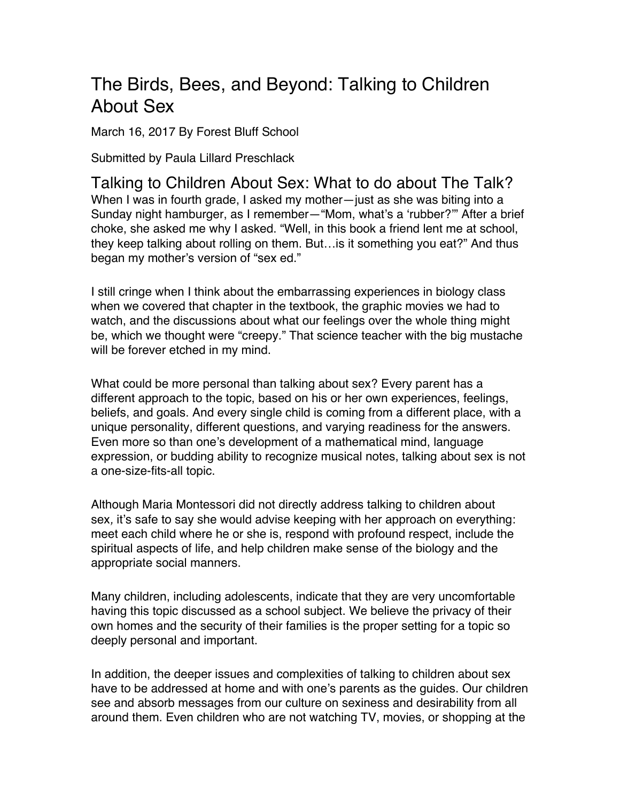## The Birds, Bees, and Beyond: Talking to Children About Sex

March 16, 2017 By Forest Bluff School

Submitted by Paula Lillard Preschlack

Talking to Children About Sex: What to do about The Talk? When I was in fourth grade, I asked my mother—just as she was biting into a Sunday night hamburger, as I remember—"Mom, what's a 'rubber?'" After a brief choke, she asked me why I asked. "Well, in this book a friend lent me at school, they keep talking about rolling on them. But…is it something you eat?" And thus began my mother's version of "sex ed."

I still cringe when I think about the embarrassing experiences in biology class when we covered that chapter in the textbook, the graphic movies we had to watch, and the discussions about what our feelings over the whole thing might be, which we thought were "creepy." That science teacher with the big mustache will be forever etched in my mind.

What could be more personal than talking about sex? Every parent has a different approach to the topic, based on his or her own experiences, feelings, beliefs, and goals. And every single child is coming from a different place, with a unique personality, different questions, and varying readiness for the answers. Even more so than one's development of a mathematical mind, language expression, or budding ability to recognize musical notes, talking about sex is not a one-size-fits-all topic.

Although Maria Montessori did not directly address talking to children about sex*,* it's safe to say she would advise keeping with her approach on everything: meet each child where he or she is, respond with profound respect, include the spiritual aspects of life, and help children make sense of the biology and the appropriate social manners.

Many children, including adolescents, indicate that they are very uncomfortable having this topic discussed as a school subject. We believe the privacy of their own homes and the security of their families is the proper setting for a topic so deeply personal and important.

In addition, the deeper issues and complexities of talking to children about sex have to be addressed at home and with one's parents as the guides. Our children see and absorb messages from our culture on sexiness and desirability from all around them. Even children who are not watching TV, movies, or shopping at the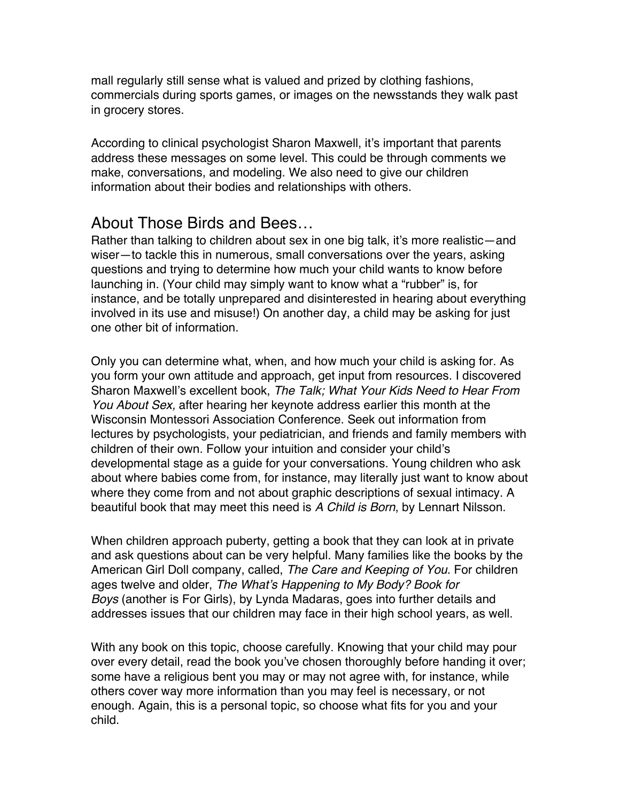mall regularly still sense what is valued and prized by clothing fashions, commercials during sports games, or images on the newsstands they walk past in grocery stores.

According to clinical psychologist Sharon Maxwell, it's important that parents address these messages on some level. This could be through comments we make, conversations, and modeling. We also need to give our children information about their bodies and relationships with others.

## About Those Birds and Bees…

Rather than talking to children about sex in one big talk, it's more realistic—and wiser—to tackle this in numerous, small conversations over the years, asking questions and trying to determine how much your child wants to know before launching in. (Your child may simply want to know what a "rubber" is, for instance, and be totally unprepared and disinterested in hearing about everything involved in its use and misuse!) On another day, a child may be asking for just one other bit of information.

Only you can determine what, when, and how much your child is asking for. As you form your own attitude and approach, get input from resources. I discovered Sharon Maxwell's excellent book, *The Talk; What Your Kids Need to Hear From You About Sex,* after hearing her keynote address earlier this month at the Wisconsin Montessori Association Conference. Seek out information from lectures by psychologists, your pediatrician, and friends and family members with children of their own. Follow your intuition and consider your child's developmental stage as a guide for your conversations. Young children who ask about where babies come from, for instance, may literally just want to know about where they come from and not about graphic descriptions of sexual intimacy. A beautiful book that may meet this need is *A Child is Born*, by Lennart Nilsson.

When children approach puberty, getting a book that they can look at in private and ask questions about can be very helpful. Many families like the books by the American Girl Doll company, called, *The Care and Keeping of You*. For children ages twelve and older, *The What's Happening to My Body? Book for Boys* (another is For Girls), by Lynda Madaras, goes into further details and addresses issues that our children may face in their high school years, as well.

With any book on this topic, choose carefully. Knowing that your child may pour over every detail, read the book you've chosen thoroughly before handing it over; some have a religious bent you may or may not agree with, for instance, while others cover way more information than you may feel is necessary, or not enough. Again, this is a personal topic, so choose what fits for you and your child.